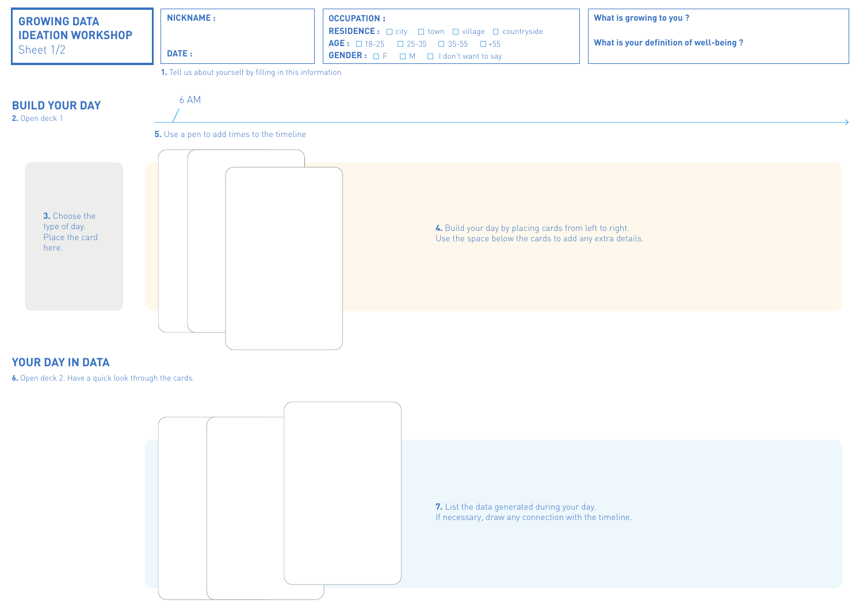## **What is your definition of well-being ?**



## **YOUR DAY IN DATA**

**6.** Open deck 2. Have a quick look through the cards.